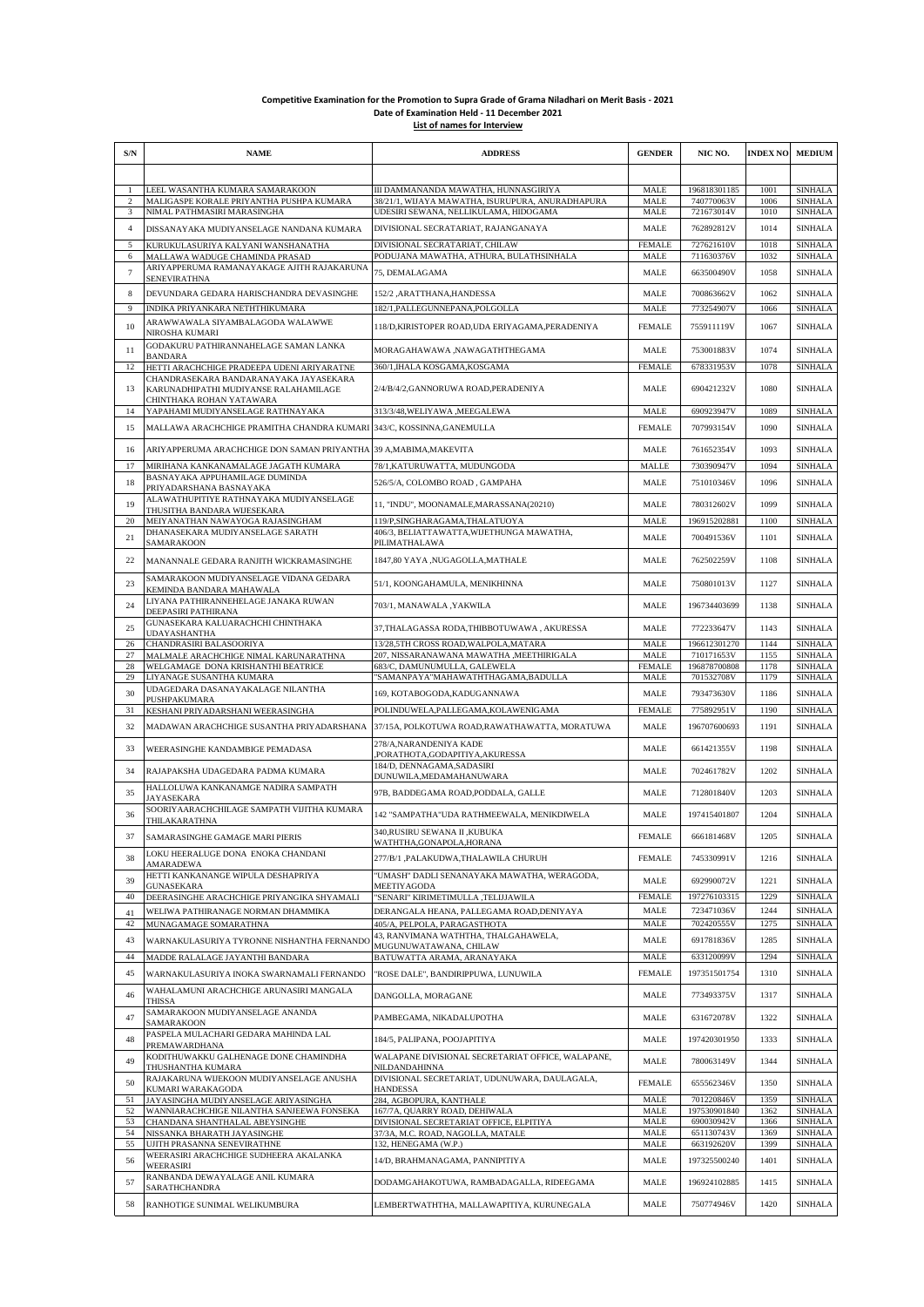## **Competitive Examination for the Promotion to Supra Grade of Grama Niladhari on Merit Basis - 2021 Date of Examination Held - 11 December 2021 List of names for Interview**

| S/N                 | <b>NAME</b>                                                                                                 | <b>ADDRESS</b>                                                                          | <b>GENDER</b>              | NIC NO.                    | <b>INDEX NO</b> | <b>MEDIUM</b>                    |
|---------------------|-------------------------------------------------------------------------------------------------------------|-----------------------------------------------------------------------------------------|----------------------------|----------------------------|-----------------|----------------------------------|
|                     |                                                                                                             |                                                                                         |                            |                            |                 |                                  |
| -1                  | LEEL WASANTHA KUMARA SAMARAKOON                                                                             | III DAMMANANDA MAWATHA, HUNNASGIRIYA                                                    | <b>MALE</b>                | 196818301185               | 1001            | <b>SINHALA</b>                   |
| 2                   | MALIGASPE KORALE PRIYANTHA PUSHPA KUMARA                                                                    | 38/21/1, WIJAYA MAWATHA, ISURUPURA, ANURADHAPURA                                        | <b>MALE</b>                | 740770063V                 | 1006            | <b>SINHALA</b>                   |
| 3<br>$\overline{4}$ | NIMAL PATHMASIRI MARASINGHA<br>DISSANAYAKA MUDIYANSELAGE NANDANA KUMARA                                     | UDESIRI SEWANA, NELLIKULAMA, HIDOGAMA<br>DIVISIONAL SECRATARIAT, RAJANGANAYA            | MALE<br>MALE               | 721673014V<br>762892812V   | 1010<br>1014    | <b>SINHALA</b><br><b>SINHALA</b> |
| 5                   | KURUKULASURIYA KALYANI WANSHANATHA                                                                          | DIVISIONAL SECRATARIAT, CHILAW                                                          | <b>FEMALE</b>              | 727621610V                 | 1018            | <b>SINHALA</b>                   |
| 6                   | MALLAWA WADUGE CHAMINDA PRASAD                                                                              | PODUJANA MAWATHA, ATHURA, BULATHSINHALA                                                 | MALE                       | 711630376V                 | 1032            | <b>SINHALA</b>                   |
| $\overline{7}$      | ARIYAPPERUMA RAMANAYAKAGE AJITH RAJAKARUNA<br><b>SENEVIRATHNA</b>                                           | 75, DEMALAGAMA                                                                          | MALE                       | 663500490V                 | 1058            | <b>SINHALA</b>                   |
| 8                   | DEVUNDARA GEDARA HARISCHANDRA DEVASINGHE                                                                    | 152/2, ARATTHANA, HANDESSA                                                              | MALE                       | 700863662V                 | 1062            | <b>SINHALA</b>                   |
| 9                   | INDIKA PRIYANKARA NETHTHIKUMARA                                                                             | 182/1, PALLEGUNNEPANA, POLGOLLA                                                         | <b>MALE</b>                | 773254907V                 | 1066            | <b>SINHALA</b>                   |
| 10                  | ARAWWAWALA SIYAMBALAGODA WALAWWE<br>NIROSHA KUMARI                                                          | 118/D,KIRISTOPER ROAD,UDA ERIYAGAMA,PERADENIYA                                          | <b>FEMALE</b>              | 755911119V                 | 1067            | <b>SINHALA</b>                   |
| 11                  | GODAKURU PATHIRANNAHELAGE SAMAN LANKA<br><b>BANDARA</b>                                                     | MORAGAHAWAWA ,NAWAGATHTHEGAMA                                                           | MALE                       | 753001883V                 | 1074            | <b>SINHALA</b>                   |
| 12                  | HETTI ARACHCHIGE PRADEEPA UDENI ARIYARATNE                                                                  | 360/1, IHALA KOSGAMA, KOSGAMA                                                           | <b>FEMALE</b>              | 678331953V                 | 1078            | <b>SINHALA</b>                   |
| 13                  | CHANDRASEKARA BANDARANAYAKA JAYASEKARA<br>KARUNADHIPATHI MUDIYANSE RALAHAMILAGE<br>CHINTHAKA ROHAN YATAWARA | 2/4/B/4/2,GANNORUWA ROAD,PERADENIYA                                                     | MALE                       | 690421232V                 | 1080            | <b>SINHALA</b>                   |
| 14                  | YAPAHAMI MUDIYANSELAGE RATHNAYAKA                                                                           | 313/3/48, WELIYAWA , MEEGALEWA                                                          | MALE                       | 690923947V                 | 1089            | <b>SINHALA</b>                   |
| 15                  | MALLAWA ARACHCHIGE PRAMITHA CHANDRA KUMARI                                                                  | 343/C, KOSSINNA, GANEMULLA                                                              | <b>FEMALE</b>              | 707993154V                 | 1090            | <b>SINHALA</b>                   |
| 16                  | ARIYAPPERUMA ARACHCHIGE DON SAMAN PRIYANTHA                                                                 | 39 A, MABIMA, MAKEVITA                                                                  | MALE                       | 761652354V                 | 1093            | <b>SINHALA</b>                   |
| 17                  | MIRIHANA KANKANAMALAGE JAGATH KUMARA                                                                        | 78/1, KATURUWATTA, MUDUNGODA                                                            | <b>MALLE</b>               | 730390947V                 | 1094            | <b>SINHALA</b>                   |
| 18                  | BASNAYAKA APPUHAMILAGE DUMINDA<br>PRIYADARSHANA BASNAYAKA                                                   | 526/5/A, COLOMBO ROAD, GAMPAHA                                                          | MALE                       | 751010346V                 | 1096            | <b>SINHALA</b>                   |
| 19                  | ALAWATHUPITIYE RATHNAYAKA MUDIYANSELAGE<br>THUSITHA BANDARA WIJESEKARA                                      | 11, "INDU", MOONAMALE, MARASSANA(20210)                                                 | MALE                       | 780312602V                 | 1099            | <b>SINHALA</b>                   |
| 20                  | MEIYANATHAN NAWAYOGA RAJASINGHAM                                                                            | 119/P,SINGHARAGAMA,THALATUOYA                                                           | <b>MALE</b>                | 196915202881               | 1100            | <b>SINHALA</b>                   |
| 21                  | DHANASEKARA MUDIYANSELAGE SARATH<br>SAMARAKOON                                                              | 406/3, BELIATTAWATTA, WIJETHUNGA MAWATHA,<br>PILIMATHALAWA                              | MALE                       | 700491536V                 | 1101            | <b>SINHALA</b>                   |
| 22                  | MANANNALE GEDARA RANJITH WICKRAMASINGHE                                                                     | 1847,80 YAYA ,NUGAGOLLA,MATHALE                                                         | MALE                       | 762502259V                 | 1108            | <b>SINHALA</b>                   |
| 23                  | SAMARAKOON MUDIYANSELAGE VIDANA GEDARA<br>KEMINDA BANDARA MAHAWALA                                          | 51/1, KOONGAHAMULA, MENIKHINNA                                                          | MALE                       | 750801013V                 | 1127            | <b>SINHALA</b>                   |
| 24                  | LIYANA PATHIRANNEHELAGE JANAKA RUWAN<br>DEEPASIRI PATHIRANA                                                 | 703/1, MANAWALA , YAKWILA                                                               | MALE                       | 196734403699               | 1138            | <b>SINHALA</b>                   |
| 25                  | GUNASEKARA KALUARACHCHI CHINTHAKA<br><b>UDAYASHANTHA</b>                                                    | 37, THALAGASSA RODA, THIBBOTUWAWA, AKURESSA                                             | MALE                       | 772233647V                 | 1143            | <b>SINHALA</b>                   |
| 26                  | CHANDRASIRI BALASOORIYA                                                                                     | 13/28,5TH CROSS ROAD, WALPOLA, MATARA                                                   | <b>MALE</b><br><b>MALE</b> | 196612301270               | 1144            | <b>SINHALA</b>                   |
| 27<br>28            | MALMALE ARACHCHIGE NIMAL KARUNARATHNA<br>WELGAMAGE DONA KRISHANTHI BEATRICE                                 | 207, NISSARANAWANA MAWATHA ,MEETHIRIGALA<br>683/C, DAMUNUMULLA, GALEWELA                | <b>FEMALE</b>              | 710171653V<br>196878700808 | 1155<br>1178    | <b>SINHALA</b><br><b>SINHALA</b> |
| 29                  | LIYANAGE SUSANTHA KUMARA                                                                                    | "SAMANPAYA"MAHAWATHTHAGAMA,BADULLA                                                      | MALE                       | 701532708V                 | 1179            | <b>SINHALA</b>                   |
| 30                  | UDAGEDARA DASANAYAKALAGE NILANTHA<br>PUSHPAKUMARA                                                           | 169, KOTABOGODA, KADUGANNAWA                                                            | MALE                       | 793473630V                 | 1186            | <b>SINHALA</b>                   |
| 31                  | KESHANI PRIYADARSHANI WEERASINGHA                                                                           | POLINDUWELA, PALLEGAMA, KOLAWENIGAMA                                                    | <b>FEMALE</b>              | 775892951V                 | 1190            | <b>SINHALA</b>                   |
| 32                  | MADAWAN ARACHCHIGE SUSANTHA PRIYADARSHANA                                                                   | 37/15A, POLKOTUWA ROAD,RAWATHAWATTA, MORATUWA                                           | MALE                       | 196707600693               | 1191            | <b>SINHALA</b>                   |
| 33                  | WEERASINGHE KANDAMBIGE PEMADASA                                                                             | 278/A, NARANDENIYA KADE<br>,PORATHOTA,GODAPITIYA,AKURESSA<br>184/D, DENNAGAMA, SADASIRI | MALE                       | 661421355V                 | 1198            | <b>SINHALA</b>                   |
| 34                  | RAJAPAKSHA UDAGEDARA PADMA KUMARA                                                                           | DUNUWILA, MEDAMAHANUWARA                                                                | MALE                       | 702461782V                 | 1202            | <b>SINHALA</b>                   |
| 35                  | HALLOLUWA KANKANAMGE NADIRA SAMPATH<br><b>JAYASEKARA</b>                                                    | 97B. BADDEGAMA ROAD.PODDALA, GALLE                                                      | MALE                       | 712801840V                 | 1203            | <b>SINHALA</b>                   |
| 36                  | SOORIYAARACHCHILAGE SAMPATH VIJITHA KUMARA<br>THILAKARATHNA                                                 | 142 "SAMPATHA"UDA RATHMEEWALA, MENIKDIWELA                                              | MALE                       | 197415401807               | 1204            | <b>SINHALA</b>                   |
| 37                  | SAMARASINGHE GAMAGE MARI PIERIS                                                                             | 340,RUSIRU SEWANA II ,KUBUKA<br>WATHTHA,GONAPOLA,HORANA                                 | <b>FEMALE</b>              | 666181468V                 | 1205            | SINHALA                          |
| 38                  | LOKU HEERALUGE DONA ENOKA CHANDANI<br>AMARADEWA                                                             | 277/B/1 ,PALAKUDWA,THALAWILA CHURUH                                                     | <b>FEMALE</b>              | 745330991V                 | 1216            | <b>SINHALA</b>                   |
| 39                  | HETTI KANKANANGE WIPULA DESHAPRIYA<br><b>GUNASEKARA</b>                                                     | "UMASH" DADLI SENANAYAKA MAWATHA, WERAGODA,<br>MEETIYAGODA                              | MALE                       | 692990072V                 | 1221            | <b>SINHALA</b>                   |
| 40                  | DEERASINGHE ARACHCHIGE PRIYANGIKA SHYAMALI                                                                  | "SENARI" KIRIMETIMULLA ,TELIJJAWILA                                                     | <b>FEMALE</b>              | 197276103315               | 1229            | <b>SINHALA</b>                   |
| 41                  | WELIWA PATHIRANAGE NORMAN DHAMMIKA                                                                          | DERANGALA HEANA, PALLEGAMA ROAD, DENIYAYA                                               | MALE                       | 723471036V                 | 1244            | <b>SINHALA</b>                   |
| 42                  | MUNAGAMAGE SOMARATHNA                                                                                       | 405/A, PELPOLA, PARAGASTHOTA<br>43, RANVIMANA WATHTHA, THALGAHAWELA,                    | <b>MALE</b>                | 702420555V                 | 1275            | <b>SINHALA</b>                   |
| 43                  | WARNAKULASURIYA TYRONNE NISHANTHA FERNANDO                                                                  | MUGUNUWATAWANA, CHILAW                                                                  | MALE                       | 691781836V                 | 1285            | <b>SINHALA</b>                   |
| 44                  | MADDE RALALAGE JAYANTHI BANDARA                                                                             | BATUWATTA ARAMA, ARANAYAKA                                                              | <b>MALE</b>                | 633120099V                 | 1294            | <b>SINHALA</b>                   |
| 45                  | WARNAKULASURIYA INOKA SWARNAMALI FERNANDO<br>WAHALAMUNI ARACHCHIGE ARUNASIRI MANGALA                        | "ROSE DALE", BANDIRIPPUWA, LUNUWILA                                                     | <b>FEMALE</b>              | 197351501754               | 1310            | <b>SINHALA</b>                   |
| 46                  | <b>THISSA</b><br>SAMARAKOON MUDIYANSELAGE ANANDA                                                            | DANGOLLA, MORAGANE                                                                      | MALE                       | 773493375V                 | 1317            | <b>SINHALA</b>                   |
| 47                  | <b>SAMARAKOON</b><br>PASPELA MULACHARI GEDARA MAHINDA LAL                                                   | PAMBEGAMA, NIKADALUPOTHA                                                                | MALE                       | 631672078V                 | 1322            | <b>SINHALA</b>                   |
| 48                  | PREMAWARDHANA<br>KODITHUWAKKU GALHENAGE DONE CHAMINDHA                                                      | 184/5, PALIPANA, POOJAPITIYA<br>WALAPANE DIVISIONAL SECRETARIAT OFFICE, WALAPANE,       | MALE                       | 197420301950               | 1333            | <b>SINHALA</b>                   |
| 49                  | THUSHANTHA KUMARA<br>RAJAKARUNA WIJEKOON MUDIYANSELAGE ANUSHA                                               | NILDANDAHINNA<br>DIVISIONAL SECRETARIAT, UDUNUWARA, DAULAGALA,                          | MALE                       | 780063149V                 | 1344            | <b>SINHALA</b>                   |
| 50                  | KUMARI WARAKAGODA                                                                                           | <b>HANDESSA</b>                                                                         | <b>FEMALE</b>              | 655562346V                 | 1350            | <b>SINHALA</b>                   |
| 51<br>52            | JAYASINGHA MUDIYANSELAGE ARIYASINGHA<br>WANNIARACHCHIGE NILANTHA SANJEEWA FONSEKA                           | 284, AGBOPURA, KANTHALE<br>167/7A, QUARRY ROAD, DEHIWALA                                | MALE<br><b>MALE</b>        | 701220846V<br>197530901840 | 1359<br>1362    | <b>SINHALA</b><br><b>SINHALA</b> |
| 53                  | CHANDANA SHANTHALAL ABEYSINGHE                                                                              | DIVISIONAL SECRETARIAT OFFICE, ELPITIYA                                                 | MALE                       | 690030942V                 | 1366            | <b>SINHALA</b>                   |
| 54                  | NISSANKA BHARATH JAYASINGHE                                                                                 | 37/3A, M.C. ROAD, NAGOLLA, MATALE                                                       | <b>MALE</b>                | 651130743V                 | 1369            | <b>SINHALA</b>                   |
| 55<br>56            | UJITH PRASANNA SENEVIRATHNE<br>WEERASIRI ARACHCHIGE SUDHEERA AKALANKA<br>WEERASIRI                          | 132, HENEGAMA (W.P.)<br>14/D, BRAHMANAGAMA, PANNIPITIYA                                 | <b>MALE</b><br>MALE        | 663192620V<br>197325500240 | 1399<br>1401    | <b>SINHALA</b><br><b>SINHALA</b> |
| 57                  | RANBANDA DEWAYALAGE ANIL KUMARA<br>SARATHCHANDRA                                                            | DODAMGAHAKOTUWA, RAMBADAGALLA, RIDEEGAMA                                                | MALE                       | 196924102885               | 1415            | <b>SINHALA</b>                   |
| 58                  | RANHOTIGE SUNIMAL WELIKUMBURA                                                                               | LEMBERTWATHTHA, MALLAWAPITIYA, KURUNEGALA                                               | MALE                       | 750774946V                 | 1420            | <b>SINHALA</b>                   |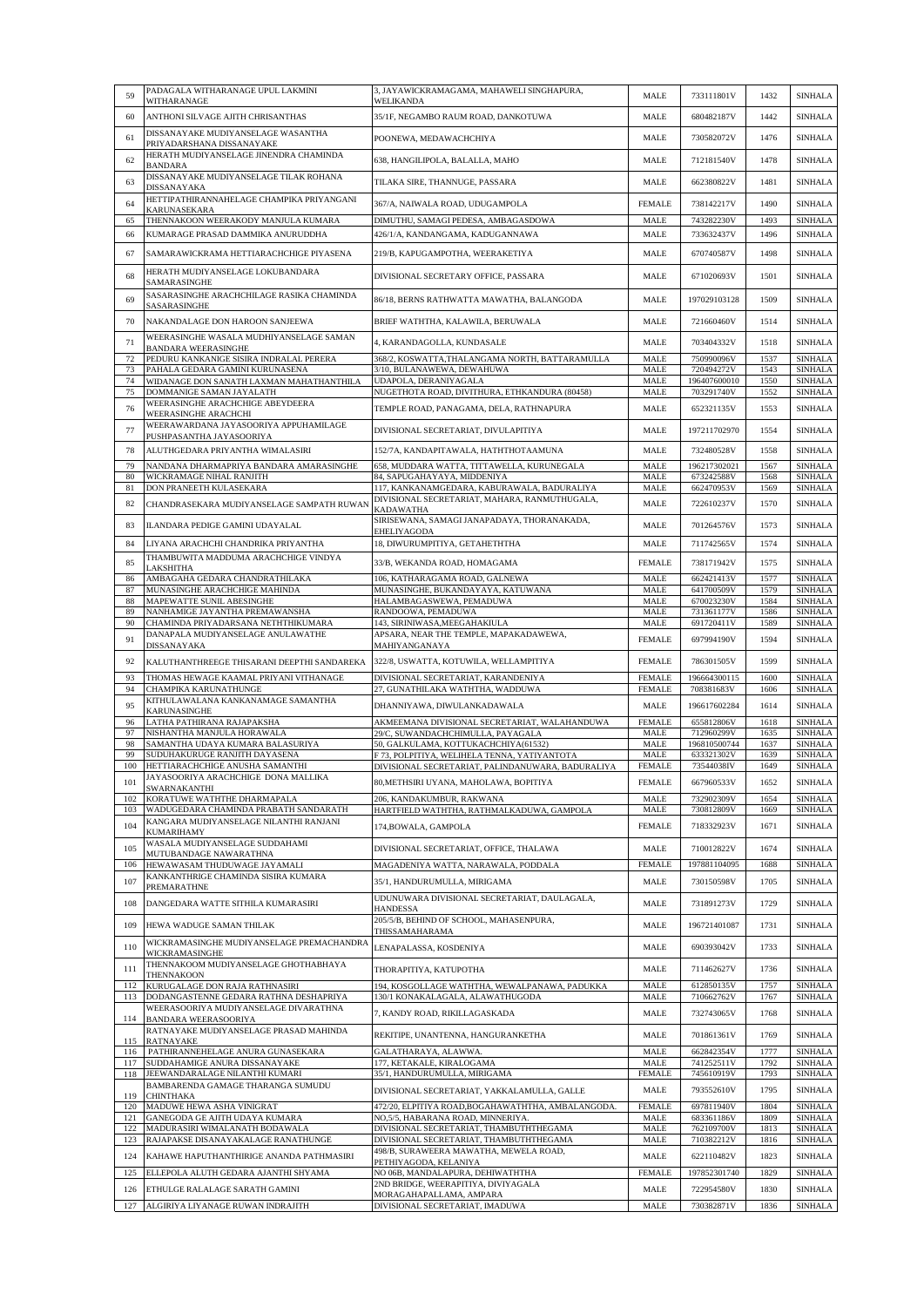| 59         | PADAGALA WITHARANAGE UPUL LAKMINI<br>WITHARANAGE                                | 3, JAYAWICKRAMAGAMA, MAHAWELI SINGHAPURA,<br><b>WELIKANDA</b>                                     | MALE                         | 733111801V                 | 1432         | <b>SINHALA</b>                   |
|------------|---------------------------------------------------------------------------------|---------------------------------------------------------------------------------------------------|------------------------------|----------------------------|--------------|----------------------------------|
| 60         | ANTHONI SILVAGE AJITH CHRISANTHAS                                               | 35/1F, NEGAMBO RAUM ROAD, DANKOTUWA                                                               | MALE                         | 680482187V                 | 1442         | <b>SINHALA</b>                   |
| 61         | DISSANAYAKE MUDIYANSELAGE WASANTHA<br>PRIYADARSHANA DISSANAYAKE                 | POONEWA, MEDAWACHCHIYA                                                                            | MALE                         | 730582072V                 | 1476         | <b>SINHALA</b>                   |
| 62         | HERATH MUDIYANSELAGE JINENDRA CHAMINDA                                          | 638, HANGILIPOLA, BALALLA, MAHO                                                                   | MALE                         | 712181540V                 | 1478         | <b>SINHALA</b>                   |
| 63         | <b>BANDARA</b><br>DISSANAYAKE MUDIYANSELAGE TILAK ROHANA                        | TILAKA SIRE, THANNUGE, PASSARA                                                                    | MALE                         | 662380822V                 | 1481         | <b>SINHALA</b>                   |
|            | DISSANAYAKA<br>HETTIPATHIRANNAHELAGE CHAMPIKA PRIYANGANI                        |                                                                                                   |                              |                            |              |                                  |
| 64<br>65   | KARUNASEKARA<br>THENNAKOON WEERAKODY MANJULA KUMARA                             | 367/A, NAIWALA ROAD, UDUGAMPOLA<br>DIMUTHU, SAMAGI PEDESA, AMBAGASDOWA                            | <b>FEMALE</b><br><b>MALE</b> | 738142217V<br>743282230V   | 1490<br>1493 | <b>SINHALA</b><br><b>SINHALA</b> |
| 66         | KUMARAGE PRASAD DAMMIKA ANURUDDHA                                               | 426/1/A, KANDANGAMA, KADUGANNAWA                                                                  | MALE                         | 733632437V                 | 1496         | <b>SINHALA</b>                   |
| 67         | SAMARAWICKRAMA HETTIARACHCHIGE PIYASENA                                         | 219/B, KAPUGAMPOTHA, WEERAKETIYA                                                                  | MALE                         | 670740587V                 | 1498         | <b>SINHALA</b>                   |
| 68         | HERATH MUDIYANSELAGE LOKUBANDARA                                                | DIVISIONAL SECRETARY OFFICE, PASSARA                                                              | MALE                         | 671020693V                 | 1501         | <b>SINHALA</b>                   |
|            | SAMARASINGHE<br>SASARASINGHE ARACHCHILAGE RASIKA CHAMINDA                       |                                                                                                   |                              |                            |              |                                  |
| 69         | SASARASINGHE                                                                    | 86/18, BERNS RATHWATTA MAWATHA, BALANGODA                                                         | MALE                         | 197029103128               | 1509         | <b>SINHALA</b>                   |
| 70         | NAKANDALAGE DON HAROON SANJEEWA<br>WEERASINGHE WASALA MUDHIYANSELAGE SAMAN      | BRIEF WATHTHA, KALAWILA, BERUWALA                                                                 | MALE                         | 721660460V                 | 1514         | <b>SINHALA</b>                   |
| 71         | <b>BANDARA WEERASINGHE</b>                                                      | 4, KARANDAGOLLA, KUNDASALE                                                                        | MALE                         | 703404332V                 | 1518         | <b>SINHALA</b>                   |
| 72<br>73   | PEDURU KANKANIGE SISIRA INDRALAL PERERA<br>PAHALA GEDARA GAMINI KURUNASENA      | 368/2, KOSWATTA, THALANGAMA NORTH, BATTARAMULLA<br>3/10, BULANAWEWA, DEWAHUWA                     | MALE<br><b>MALE</b>          | 750990096V<br>720494272V   | 1537<br>1543 | <b>SINHALA</b><br><b>SINHALA</b> |
| 74<br>75   | WIDANAGE DON SANATH LAXMAN MAHATHANTHILA<br>DOMMANIGE SAMAN JAYALATH            | UDAPOLA, DERANIYAGALA<br>NUGETHOTA ROAD, DIVITHURA, ETHKANDURA (80458)                            | <b>MALE</b><br>MALE          | 196407600010<br>703291740V | 1550<br>1552 | <b>SINHALA</b><br><b>SINHALA</b> |
| 76         | WEERASINGHE ARACHCHIGE ABEYDEERA                                                | TEMPLE ROAD, PANAGAMA, DELA, RATHNAPURA                                                           | <b>MALE</b>                  | 652321135V                 | 1553         | <b>SINHALA</b>                   |
| 77         | <b>WEERASINGHE ARACHCHI</b><br>WEERAWARDANA JAYASOORIYA APPUHAMILAGE            | DIVISIONAL SECRETARIAT, DIVULAPITIYA                                                              | MALE                         | 197211702970               | 1554         | <b>SINHALA</b>                   |
| 78         | PUSHPASANTHA JAYASOORIYA<br>ALUTHGEDARA PRIYANTHA WIMALASIRI                    | 152/7A, KANDAPITAWALA, HATHTHOTAAMUNA                                                             | MALE                         | 732480528V                 | 1558         | <b>SINHALA</b>                   |
| 79         | NANDANA DHARMAPRIYA BANDARA AMARASINGHE                                         | 658, MUDDARA WATTA, TITTAWELLA, KURUNEGALA                                                        | MALE                         | 196217302021               | 1567         | <b>SINHALA</b>                   |
| 80<br>81   | WICKRAMAGE NIHAL RANJITH<br>DON PRANEETH KULASEKARA                             | 84, SAPUGAHAYAYA, MIDDENIYA<br>117, KANKANAMGEDARA, KABURAWALA, BADURALIYA                        | <b>MALE</b><br><b>MALE</b>   | 673242588V<br>662470953V   | 1568<br>1569 | <b>SINHALA</b><br><b>SINHALA</b> |
| 82         | CHANDRASEKARA MUDIYANSELAGE SAMPATH RUWAN                                       | DIVISIONAL SECRETARIAT, MAHARA, RANMUTHUGALA,                                                     | MALE                         | 722610237V                 | 1570         | <b>SINHALA</b>                   |
| 83         | ILANDARA PEDIGE GAMINI UDAYALAL                                                 | <b>KADAWATHA</b><br>SIRISEWANA, SAMAGI JANAPADAYA, THORANAKADA,                                   | MALE                         | 701264576V                 | 1573         | <b>SINHALA</b>                   |
| 84         | LIYANA ARACHCHI CHANDRIKA PRIYANTHA                                             | EHELIYAGODA<br>18, DIWURUMPITIYA, GETAHETHTHA                                                     | MALE                         | 711742565V                 | 1574         | <b>SINHALA</b>                   |
| 85         | THAMBUWITA MADDUMA ARACHCHIGE VINDYA                                            | 33/B, WEKANDA ROAD, HOMAGAMA                                                                      | <b>FEMALE</b>                | 738171942V                 | 1575         | <b>SINHALA</b>                   |
| 86         | LAKSHITHA<br>AMBAGAHA GEDARA CHANDRATHILAKA                                     | 106, KATHARAGAMA ROAD, GALNEWA                                                                    | MALE                         | 662421413V                 | 1577         | <b>SINHALA</b>                   |
| 87<br>88   | MUNASINGHE ARACHCHIGE MAHINDA<br>MAPEWATTE SUNIL ABESINGHE                      | MUNASINGHE, BUKANDAYAYA, KATUWANA<br>HALAMBAGASWEWA, PEMADUWA                                     | MALE<br><b>MALE</b>          | 641700509V<br>670023230V   | 1579<br>1584 | <b>SINHALA</b><br><b>SINHALA</b> |
| 89         | NANHAMIGE JAYANTHA PREMAWANSHA                                                  | RANDOOWA, PEMADUWA                                                                                | MALE                         | 731361177V                 | 1586         | <b>SINHALA</b>                   |
| 90         | CHAMINDA PRIYADARSANA NETHTHIKUMARA                                             | 143, SIRINIWASA, MEEGAHAKIULA                                                                     | <b>MALE</b>                  | 691720411V                 | 1589         | <b>SINHALA</b>                   |
| 91         | DANAPALA MUDIYANSELAGE ANULAWATHE<br>DISSANAYAKA                                | APSARA, NEAR THE TEMPLE, MAPAKADAWEWA,<br>MAHIYANGANAYA                                           | <b>FEMALE</b>                | 697994190V                 | 1594         | <b>SINHALA</b>                   |
| 92         | KALUTHANTHREEGE THISARANI DEEPTHI SANDAREKA                                     | 322/8, USWATTA, KOTUWILA, WELLAMPITIYA                                                            | <b>FEMALE</b>                | 786301505V                 | 1599         | <b>SINHALA</b>                   |
| 93<br>94   | THOMAS HEWAGE KAAMAL PRIYANI VITHANAGE<br>CHAMPIKA KARUNATHUNGE                 | DIVISIONAL SECRETARIAT, KARANDENIYA<br>27, GUNATHILAKA WATHTHA, WADDUWA                           | FEMALE<br><b>FEMALE</b>      | 196664300115<br>708381683V | 1600<br>1606 | <b>SINHALA</b><br><b>SINHALA</b> |
| 95         | KITHULAWALANA KANKANAMAGE SAMANTHA<br>KARUNASINGHE                              | DHANNIYAWA, DIWULANKADAWALA                                                                       | MALE                         | 196617602284               | 1614         | <b>SINHALA</b>                   |
| 96<br>97   | LATHA PATHIRANA RAJAPAKSHA<br>NISHANTHA MANJULA HORAWALA                        | AKMEEMANA DIVISIONAL SECRETARIAT, WALAHANDUWA                                                     | FEMALE<br>MALE               | 655812806V<br>712960299V   | 1618<br>1635 | <b>SINHALA</b><br><b>SINHALA</b> |
| 98         | SAMANTHA UDAYA KUMARA BALASURIYA                                                | 29/C, SUWANDACHCHIMULLA, PAYAGALA<br>50, GALKULAMA, KOTTUKACHCHIYA(61532)                         | <b>MALE</b>                  | 196810500744               | 1637         | <b>SINHALA</b>                   |
| 99<br>100  | SUDUHAKURUGE RANJITH DAYASENA<br>HETTIARACHCHIGE ANUSHA SAMANTHI                | F 73, POLPITIYA, WELIHELA TENNA, YATIYANTOTA<br>DIVISIONAL SECRETARIAT, PALINDANUWARA, BADURALIYA | MALE<br><b>FEMALE</b>        | 633321302V<br>73544038IV   | 1639<br>1649 | <b>SINHALA</b><br>SINHALA        |
| 101        | JAYASOORIYA ARACHCHIGE DONA MALLIKA                                             | 80, METHSIRI UYANA, MAHOLAWA, BOPITIYA                                                            | <b>FEMALE</b>                | 667960533V                 | 1652         | <b>SINHALA</b>                   |
| 102        | SWARNAKANTHI<br>KORATUWE WATHTHE DHARMAPALA                                     | 206, KANDAKUMBUR, RAKWANA                                                                         | MALE                         | 732902309V                 | 1654         | <b>SINHALA</b>                   |
| 103        | WADUGEDARA CHAMINDA PRABATH SANDARATH<br>KANGARA MUDIYANSELAGE NILANTHI RANJANI | HARTFIELD WATHTHA, RATHMALKADUWA, GAMPOLA                                                         | MALE                         | 730812809V                 | 1669         | <b>SINHALA</b>                   |
| 104        | <b>KUMARIHAMY</b>                                                               | 174, BOWALA, GAMPOLA                                                                              | <b>FEMALE</b>                | 718332923V                 | 1671         | <b>SINHALA</b>                   |
| 105        | WASALA MUDIYANSELAGE SUDDAHAMI<br>MUTUBANDAGE NAWARATHNA                        | DIVISIONAL SECRETARIAT, OFFICE, THALAWA                                                           | MALE                         | 710012822V                 | 1674         | <b>SINHALA</b>                   |
| 106        | HEWAWASAM THUDUWAGE JAYAMALI<br>KANKANTHRIGE CHAMINDA SISIRA KUMARA             | MAGADENIYA WATTA, NARAWALA, PODDALA                                                               | <b>FEMALE</b>                | 197881104095               | 1688         | <b>SINHALA</b>                   |
| 107        | PREMARATHNE                                                                     | 35/1, HANDURUMULLA, MIRIGAMA<br>UDUNUWARA DIVISIONAL SECRETARIAT, DAULAGALA,                      | MALE                         | 730150598V                 | 1705         | <b>SINHALA</b>                   |
| 108        | DANGEDARA WATTE SITHILA KUMARASIRI                                              | <b>HANDESSA</b>                                                                                   | MALE                         | 731891273V                 | 1729         | <b>SINHALA</b>                   |
| 109        | HEWA WADUGE SAMAN THILAK                                                        | 205/5/B, BEHIND OF SCHOOL, MAHASENPURA,<br>THISSAMAHARAMA                                         | MALE                         | 196721401087               | 1731         | <b>SINHALA</b>                   |
| 110        | WICKRAMASINGHE MUDIYANSELAGE PREMACHANDRA<br>WICKRAMASINGHE                     | LENAPALASSA, KOSDENIYA                                                                            | MALE                         | 690393042V                 | 1733         | <b>SINHALA</b>                   |
| 111        | THENNAKOOM MUDIYANSELAGE GHOTHABHAYA<br><b>THENNAKOON</b>                       | THORAPITIYA, KATUPOTHA                                                                            | MALE                         | 711462627V                 | 1736         | <b>SINHALA</b>                   |
| 112<br>113 | KURUGALAGE DON RAJA RATHNASIRI<br>DODANGASTENNE GEDARA RATHNA DESHAPRIYA        | 194, KOSGOLLAGE WATHTHA, WEWALPANAWA, PADUKKA<br>130/1 KONAKALAGALA, ALAWATHUGODA                 | MALE<br>MALE                 | 612850135V<br>710662762V   | 1757<br>1767 | <b>SINHALA</b><br><b>SINHALA</b> |
|            | WEERASOORIYA MUDIYANSELAGE DIVARATHNA                                           | 7, KANDY ROAD, RIKILLAGASKADA                                                                     | MALE                         | 732743065V                 | 1768         | <b>SINHALA</b>                   |
| 114        | BANDARA WEERASOORIYA<br>RATNAYAKE MUDIYANSELAGE PRASAD MAHINDA                  | REKITIPE, UNANTENNA, HANGURANKETHA                                                                | MALE                         | 701861361V                 | 1769         | <b>SINHALA</b>                   |
| 115<br>116 | <b>RATNAYAKE</b><br>PATHIRANNEHELAGE ANURA GUNASEKARA                           | GALATHARAYA, ALAWWA.                                                                              | MALE                         | 662842354V                 | 1777         | <b>SINHALA</b>                   |
| 117<br>118 | SUDDAHAMIGE ANURA DISSANAYAKE<br>JEEWANDARALAGE NILANTHI KUMARI                 | 177, KETAKALE, KIRALOGAMA<br>35/1, HANDURUMULLA, MIRIGAMA                                         | MALE<br><b>FEMALE</b>        | 741252511V<br>745610919V   | 1792         | <b>SINHALA</b><br><b>SINHALA</b> |
|            | BAMBARENDA GAMAGE THARANGA SUMUDU                                               | DIVISIONAL SECRETARIAT, YAKKALAMULLA, GALLE                                                       | MALE                         | 793552610V                 | 1793<br>1795 | <b>SINHALA</b>                   |
| 119<br>120 | <b>CHINTHAKA</b><br>MADUWE HEWA ASHA VINIGRAT                                   | 472/20, ELPITIYA ROAD, BOGAHAWATHTHA, AMBALANGODA.                                                | <b>FEMALE</b>                | 697811940V                 | 1804         | <b>SINHALA</b>                   |
| 121        | GANEGODA GE AJITH UDAYA KUMARA                                                  | NO,5/5, HABARANA ROAD, MINNERIYA.                                                                 | MALE                         | 683361186V                 | 1809         | <b>SINHALA</b>                   |
| 122        | MADURASIRI WIMALANATH BODAWALA                                                  | DIVISIONAL SECRETARIAT, THAMBUTHTHEGAMA                                                           | MALE                         | 762109700V                 | 1813         | <b>SINHALA</b>                   |
| 123        | RAJAPAKSE DISANAYAKALAGE RANATHUNGE                                             | DIVISIONAL SECRETARIAT, THAMBUTHTHEGAMA<br>498/B, SURAWEERA MAWATHA, MEWELA ROAD,                 | MALE                         | 710382212V                 | 1816         | <b>SINHALA</b>                   |
| 124        | KAHAWE HAPUTHANTHIRIGE ANANDA PATHMASIRI                                        | PETHIYAGODA, KELANIYA                                                                             | MALE                         | 622110482V                 | 1823         | <b>SINHALA</b>                   |
| 125<br>126 | ELLEPOLA ALUTH GEDARA AJANTHI SHYAMA<br>ETHULGE RALALAGE SARATH GAMINI          | NO 06B, MANDALAPURA, DEHIWATHTHA<br>2ND BRIDGE, WEERAPITIYA, DIVIYAGALA                           | <b>FEMALE</b>                | 197852301740<br>722954580V | 1829<br>1830 | <b>SINHALA</b><br><b>SINHALA</b> |
|            | 127 ALGIRIYA LIYANAGE RUWAN INDRAJITH                                           | MORAGAHAPALLAMA, AMPARA<br>DIVISIONAL SECRETARIAT, IMADUWA                                        | MALE<br>MALE                 | 730382871V                 | 1836         | <b>SINHALA</b>                   |
|            |                                                                                 |                                                                                                   |                              |                            |              |                                  |